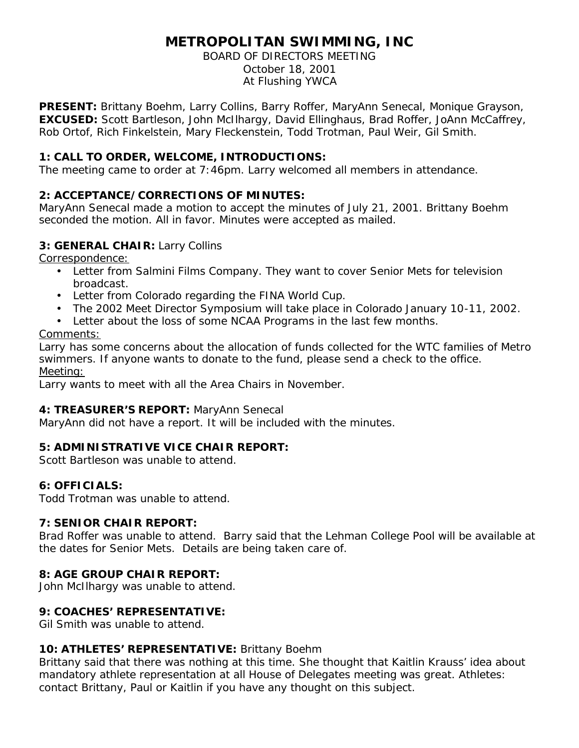# **METROPOLITAN SWIMMING, INC**

BOARD OF DIRECTORS MEETING October 18, 2001 At Flushing YWCA

**PRESENT:** Brittany Boehm, Larry Collins, Barry Roffer, MaryAnn Senecal, Monique Grayson, **EXCUSED:** Scott Bartleson, John McIlhargy, David Ellinghaus, Brad Roffer, JoAnn McCaffrey, Rob Ortof, Rich Finkelstein, Mary Fleckenstein, Todd Trotman, Paul Weir, Gil Smith.

# **1: CALL TO ORDER, WELCOME, INTRODUCTIONS:**

The meeting came to order at 7:46pm. Larry welcomed all members in attendance.

# **2: ACCEPTANCE/CORRECTIONS OF MINUTES:**

MaryAnn Senecal made a motion to accept the minutes of July 21, 2001. Brittany Boehm seconded the motion. All in favor. Minutes were accepted as mailed.

### **3: GENERAL CHAIR:** Larry Collins

Correspondence:

- Letter from Salmini Films Company. They want to cover Senior Mets for television broadcast.
- Letter from Colorado regarding the FINA World Cup.
- The 2002 Meet Director Symposium will take place in Colorado January 10-11, 2002.
- Letter about the loss of some NCAA Programs in the last few months.

### Comments:

Larry has some concerns about the allocation of funds collected for the WTC families of Metro swimmers. If anyone wants to donate to the fund, please send a check to the office. Meeting:

Larry wants to meet with all the Area Chairs in November.

### **4: TREASURER'S REPORT:** MaryAnn Senecal

MaryAnn did not have a report. It will be included with the minutes.

### **5: ADMINISTRATIVE VICE CHAIR REPORT:**

Scott Bartleson was unable to attend.

### **6: OFFICIALS:**

Todd Trotman was unable to attend.

### **7: SENIOR CHAIR REPORT:**

Brad Roffer was unable to attend. Barry said that the Lehman College Pool will be available at the dates for Senior Mets. Details are being taken care of.

### **8: AGE GROUP CHAIR REPORT:**

John McIlhargy was unable to attend.

### **9: COACHES' REPRESENTATIVE:**

Gil Smith was unable to attend.

### **10: ATHLETES' REPRESENTATIVE:** Brittany Boehm

Brittany said that there was nothing at this time. She thought that Kaitlin Krauss' idea about mandatory athlete representation at all House of Delegates meeting was great. Athletes: contact Brittany, Paul or Kaitlin if you have any thought on this subject.